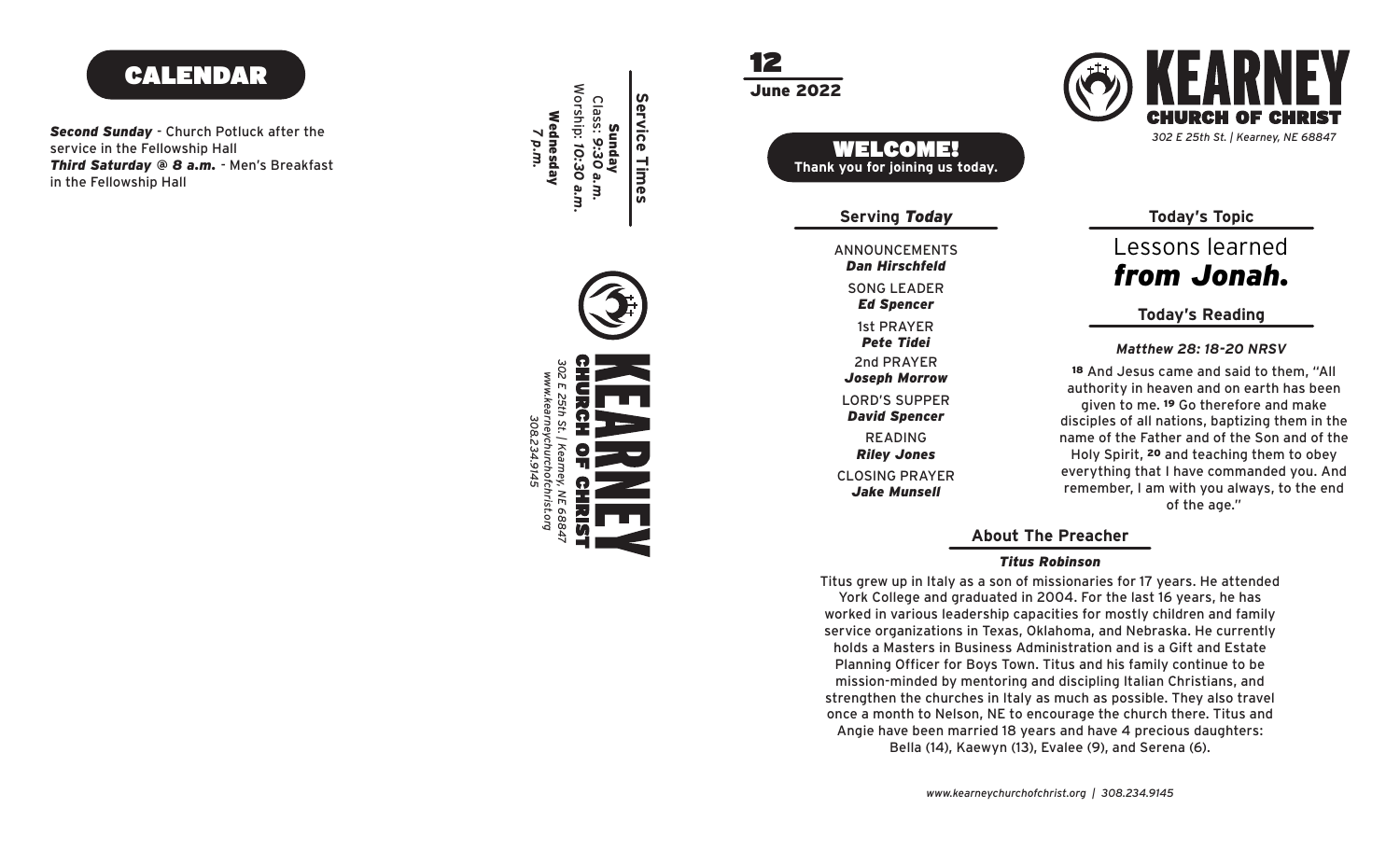## CALENDAR

*Second Sunday* - Church Potluck after the service in the Fellowship Hall *Third Saturday @ 8 a.m.* - Men's Breakfast in the Fellowship Hall



12





Lessons learned *from Jonah.*

### **Today's Reading**

*Matthew 28: 18-20 NRSV*

<sup>18</sup> And Jesus came and said to them, "All authority in heaven and on earth has been given to me. 19 Go therefore and make disciples of all nations, baptizing them in the name of the Father and of the Son and of the Holy Spirit, 20 and teaching them to obey everything that I have commanded you. And remember, I am with you always, to the end of the age."

**About The Preacher**

#### *Titus Robinson*

Titus grew up in Italy as a son of missionaries for 17 years. He attended York College and graduated in 2004. For the last 16 years, he has worked in various leadership capacities for mostly children and family service organizations in Texas, Oklahoma, and Nebraska. He currently holds a Masters in Business Administration and is a Gift and Estate Planning Officer for Boys Town. Titus and his family continue to be mission-minded by mentoring and discipling Italian Christians, and strengthen the churches in Italy as much as possible. They also travel once a month to Nelson, NE to encourage the church there. Titus and Angie have been married 18 years and have 4 precious daughters: Bella (14), Kaewyn (13), Evalee (9), and Serena (6).

*www.kearneychurchofchrist.org | 308.234.9145*